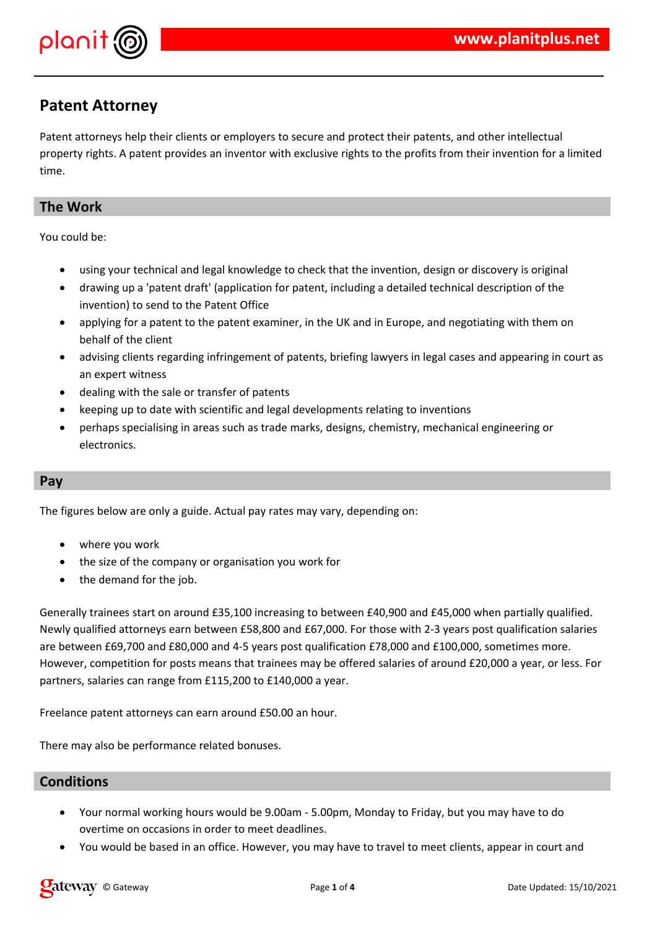

### **Patent Attorney**

Patent attorneys help their clients or employers to secure and protect their patents, and other intellectual property rights. A patent provides an inventor with exclusive rights to the profits from their invention for a limited time.

#### **The Work**

You could be:

- using your technical and legal knowledge to check that the invention, design or discovery is original
- drawing up a 'patent draft' (application for patent, including a detailed technical description of the invention) to send to the Patent Office
- applying for a patent to the patent examiner, in the UK and in Europe, and negotiating with them on behalf of the client
- advising clients regarding infringement of patents, briefing lawyers in legal cases and appearing in court as an expert witness
- dealing with the sale or transfer of patents
- keeping up to date with scientific and legal developments relating to inventions
- perhaps specialising in areas such as trade marks, designs, chemistry, mechanical engineering or electronics.

#### **Pay**

The figures below are only a guide. Actual pay rates may vary, depending on:

- where you work
- the size of the company or organisation you work for
- the demand for the job.

Generally trainees start on around £35,100 increasing to between £40,900 and £45,000 when partially qualified. Newly qualified attorneys earn between £58,800 and £67,000. For those with 2-3 years post qualification salaries are between £69,700 and £80,000 and 4-5 years post qualification £78,000 and £100,000, sometimes more. However, competition for posts means that trainees may be offered salaries of around £20,000 a year, or less. For partners, salaries can range from £115,200 to £140,000 a year.

Freelance patent attorneys can earn around £50.00 an hour.

There may also be performance related bonuses.

#### **Conditions**

- Your normal working hours would be 9.00am 5.00pm, Monday to Friday, but you may have to do overtime on occasions in order to meet deadlines.
- You would be based in an office. However, you may have to travel to meet clients, appear in court and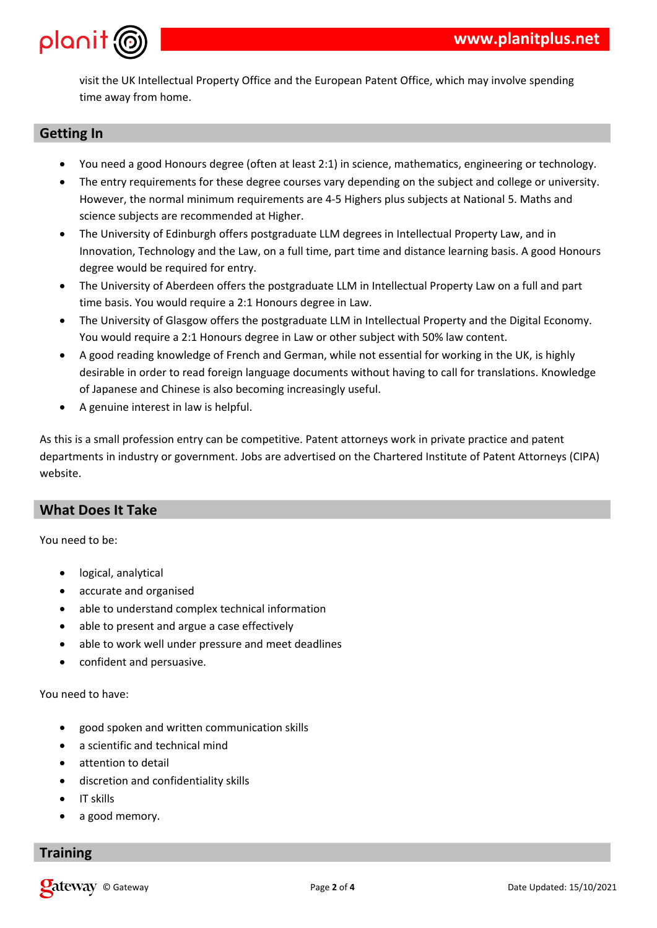

visit the UK Intellectual Property Office and the European Patent Office, which may involve spending time away from home.

#### **Getting In**

- You need a good Honours degree (often at least 2:1) in science, mathematics, engineering or technology.
- The entry requirements for these degree courses vary depending on the subject and college or university. However, the normal minimum requirements are 4-5 Highers plus subjects at National 5. Maths and science subjects are recommended at Higher.
- The University of Edinburgh offers postgraduate LLM degrees in Intellectual Property Law, and in Innovation, Technology and the Law, on a full time, part time and distance learning basis. A good Honours degree would be required for entry.
- The University of Aberdeen offers the postgraduate LLM in Intellectual Property Law on a full and part time basis. You would require a 2:1 Honours degree in Law.
- The University of Glasgow offers the postgraduate LLM in Intellectual Property and the Digital Economy. You would require a 2:1 Honours degree in Law or other subject with 50% law content.
- A good reading knowledge of French and German, while not essential for working in the UK, is highly desirable in order to read foreign language documents without having to call for translations. Knowledge of Japanese and Chinese is also becoming increasingly useful.
- A genuine interest in law is helpful.

As this is a small profession entry can be competitive. Patent attorneys work in private practice and patent departments in industry or government. Jobs are advertised on the Chartered Institute of Patent Attorneys (CIPA) website.

#### **What Does It Take**

You need to be:

- logical, analytical
- accurate and organised
- able to understand complex technical information
- able to present and argue a case effectively
- able to work well under pressure and meet deadlines
- confident and persuasive.

You need to have:

- good spoken and written communication skills
- a scientific and technical mind
- attention to detail
- discretion and confidentiality skills
- IT skills
- a good memory.

#### **Training**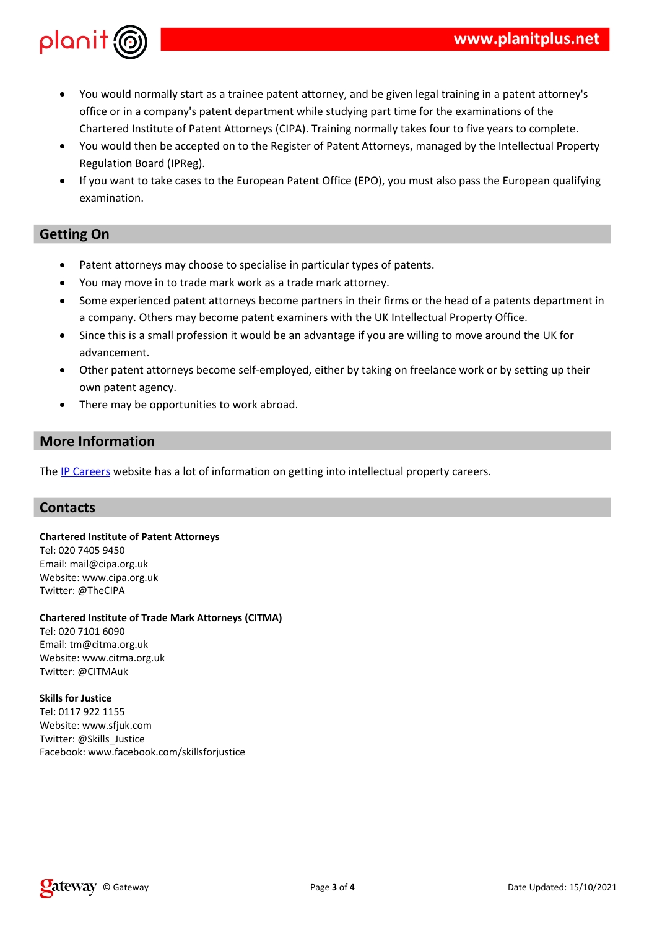



| $\%$ | &% |
|------|----|
|      |    |

|  |  | $\mathbf{I}$ and $\mathbf{u}$ |
|--|--|-------------------------------|
|  |  |                               |
|  |  |                               |

 $\frac{1}{2}$  $\overline{A}$ Ξ

# $\#$

| ī<br>82<br>32<br>E<br>$\&$<br>,<br>F %<br>$\&$<br>E -<br>$A =$ !<br>ī<br>7 3<br>8<br>&<br>E<br>, $\overline{F}$ %<br>&<br>$E A = - < !$ & | \$ | $\%$ |
|-------------------------------------------------------------------------------------------------------------------------------------------|----|------|
|                                                                                                                                           |    |      |
| Ч.<br>#                                                                                                                                   |    |      |
| 8 3                                                                                                                                       |    |      |
| &<br>-<br>F %<br>/8                                                                                                                       |    |      |
| $G$ $@$<br>ED&                                                                                                                            |    |      |
| 9<br>$\%$<br>%<br>&<br>&                                                                                                                  | &  |      |